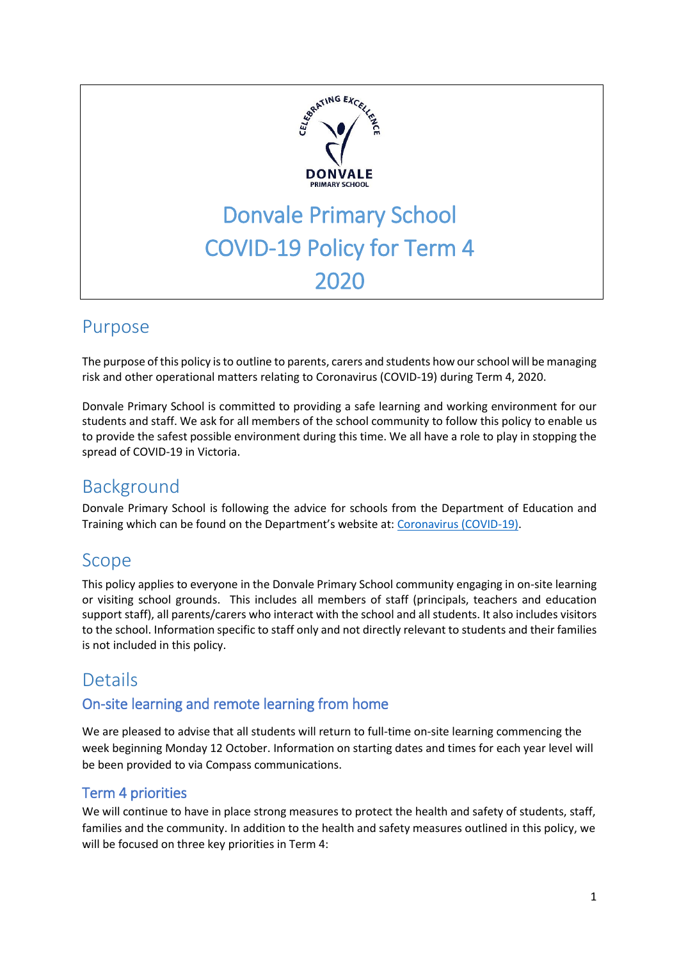

# Purpose

The purpose of this policy is to outline to parents, carers and students how our school will be managing risk and other operational matters relating to Coronavirus (COVID-19) during Term 4, 2020.

Donvale Primary School is committed to providing a safe learning and working environment for our students and staff. We ask for all members of the school community to follow this policy to enable us to provide the safest possible environment during this time. We all have a role to play in stopping the spread of COVID-19 in Victoria.

# Background

Donvale Primary School is following the advice for schools from the Department of Education and Training which can be found on the Department's website at: [Coronavirus \(COVID-19\).](https://www.education.vic.gov.au/school/Pages/coronavirus-advice-schools.aspx)

# Scope

This policy applies to everyone in the Donvale Primary School community engaging in on-site learning or visiting school grounds. This includes all members of staff (principals, teachers and education support staff), all parents/carers who interact with the school and all students. It also includes visitors to the school. Information specific to staff only and not directly relevant to students and their families is not included in this policy.

## Details

## On-site learning and remote learning from home

We are pleased to advise that all students will return to full-time on-site learning commencing the week beginning Monday 12 October. Information on starting dates and times for each year level will be been provided to via Compass communications.

## Term 4 priorities

We will continue to have in place strong measures to protect the health and safety of students, staff, families and the community. In addition to the health and safety measures outlined in this policy, we will be focused on three key priorities in Term 4: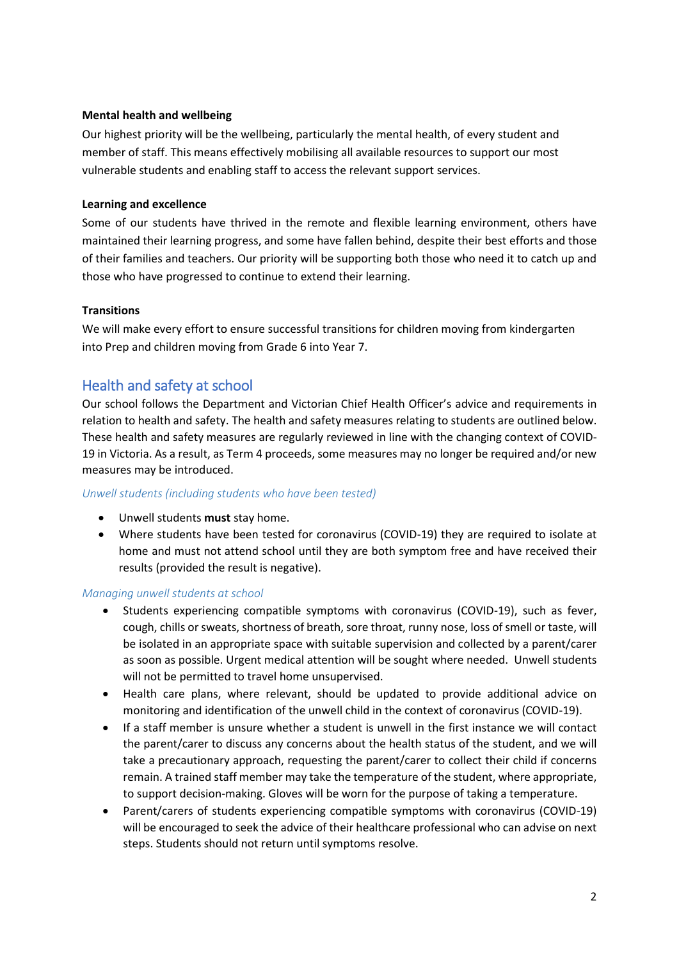#### **Mental health and wellbeing**

Our highest priority will be the wellbeing, particularly the mental health, of every student and member of staff. This means effectively mobilising all available resources to support our most vulnerable students and enabling staff to access the relevant support services.

#### **Learning and excellence**

Some of our students have thrived in the remote and flexible learning environment, others have maintained their learning progress, and some have fallen behind, despite their best efforts and those of their families and teachers. Our priority will be supporting both those who need it to catch up and those who have progressed to continue to extend their learning.

#### **Transitions**

We will make every effort to ensure successful transitions for children moving from kindergarten into Prep and children moving from Grade 6 into Year 7.

## Health and safety at school

Our school follows the Department and Victorian Chief Health Officer's advice and requirements in relation to health and safety. The health and safety measures relating to students are outlined below. These health and safety measures are regularly reviewed in line with the changing context of COVID-19 in Victoria. As a result, as Term 4 proceeds, some measures may no longer be required and/or new measures may be introduced.

#### *Unwell students (including students who have been tested)*

- Unwell students **must** stay home.
- Where students have been tested for coronavirus (COVID-19) they are required to isolate at home and must not attend school until they are both symptom free and have received their results (provided the result is negative).

#### *Managing unwell students at school*

- Students experiencing compatible symptoms with coronavirus (COVID-19), such as fever, cough, chills or sweats, shortness of breath, sore throat, runny nose, loss of smell or taste, will be isolated in an appropriate space with suitable supervision and collected by a parent/carer as soon as possible. Urgent medical attention will be sought where needed. Unwell students will not be permitted to travel home unsupervised.
- Health care plans, where relevant, should be updated to provide additional advice on monitoring and identification of the unwell child in the context of coronavirus (COVID-19).
- If a staff member is unsure whether a student is unwell in the first instance we will contact the parent/carer to discuss any concerns about the health status of the student, and we will take a precautionary approach, requesting the parent/carer to collect their child if concerns remain. A trained staff member may take the temperature of the student, where appropriate, to support decision-making. Gloves will be worn for the purpose of taking a temperature.
- Parent/carers of students experiencing compatible symptoms with coronavirus (COVID-19) will be encouraged to seek the advice of their healthcare professional who can advise on next steps. Students should not return until symptoms resolve.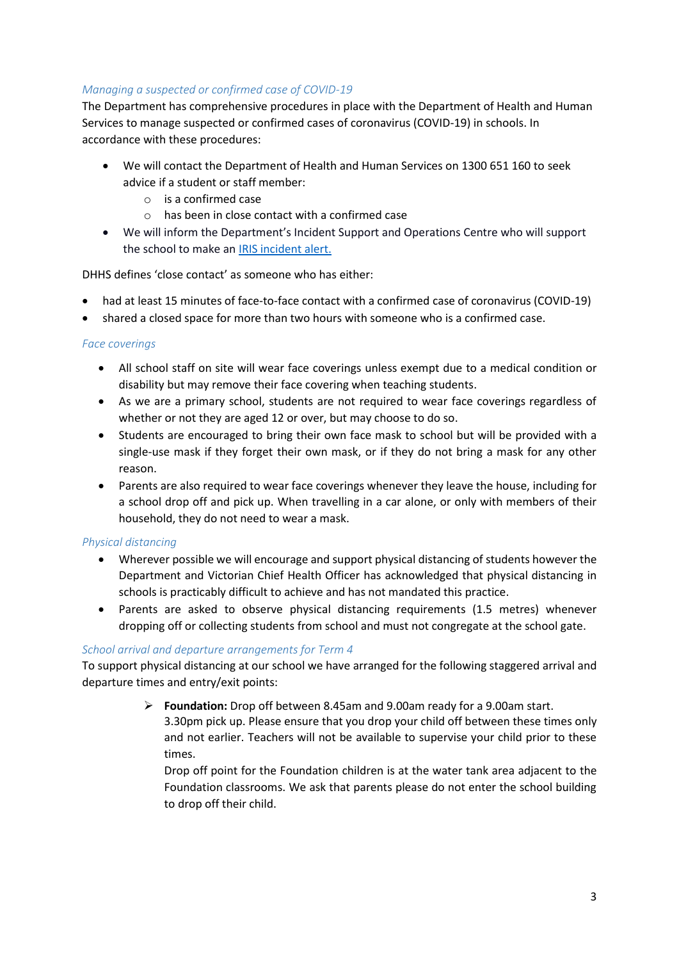#### *Managing a suspected or confirmed case of COVID-19*

The Department has comprehensive procedures in place with the Department of Health and Human Services to manage suspected or confirmed cases of coronavirus (COVID-19) in schools. In accordance with these procedures:

- We will contact the Department of Health and Human Services on 1300 651 160 to seek advice if a student or staff member:
	- o is a confirmed case
	- $\circ$  has been in close contact with a confirmed case
- We will inform the Department's Incident Support and Operations Centre who will support the school to make an [IRIS incident alert.](https://www.eduweb.vic.gov.au/iris/ctrESMMain.asp)

DHHS defines 'close contact' as someone who has either:

- had at least 15 minutes of face-to-face contact with a confirmed case of coronavirus (COVID-19)
- shared a closed space for more than two hours with someone who is a confirmed case.

#### *Face coverings*

- All school staff on site will wear face coverings unless exempt due to a medical condition or disability but may remove their face covering when teaching students.
- As we are a primary school, students are not required to wear face coverings regardless of whether or not they are aged 12 or over, but may choose to do so.
- Students are encouraged to bring their own face mask to school but will be provided with a single-use mask if they forget their own mask, or if they do not bring a mask for any other reason.
- Parents are also required to wear face coverings whenever they leave the house, including for a school drop off and pick up. When travelling in a car alone, or only with members of their household, they do not need to wear a mask.

#### *Physical distancing*

- Wherever possible we will encourage and support physical distancing of students however the Department and Victorian Chief Health Officer has acknowledged that physical distancing in schools is practicably difficult to achieve and has not mandated this practice.
- Parents are asked to observe physical distancing requirements (1.5 metres) whenever dropping off or collecting students from school and must not congregate at the school gate.

#### *School arrival and departure arrangements for Term 4*

To support physical distancing at our school we have arranged for the following staggered arrival and departure times and entry/exit points:

> **Foundation:** Drop off between 8.45am and 9.00am ready for a 9.00am start. 3.30pm pick up. Please ensure that you drop your child off between these times only and not earlier. Teachers will not be available to supervise your child prior to these times.

Drop off point for the Foundation children is at the water tank area adjacent to the Foundation classrooms. We ask that parents please do not enter the school building to drop off their child.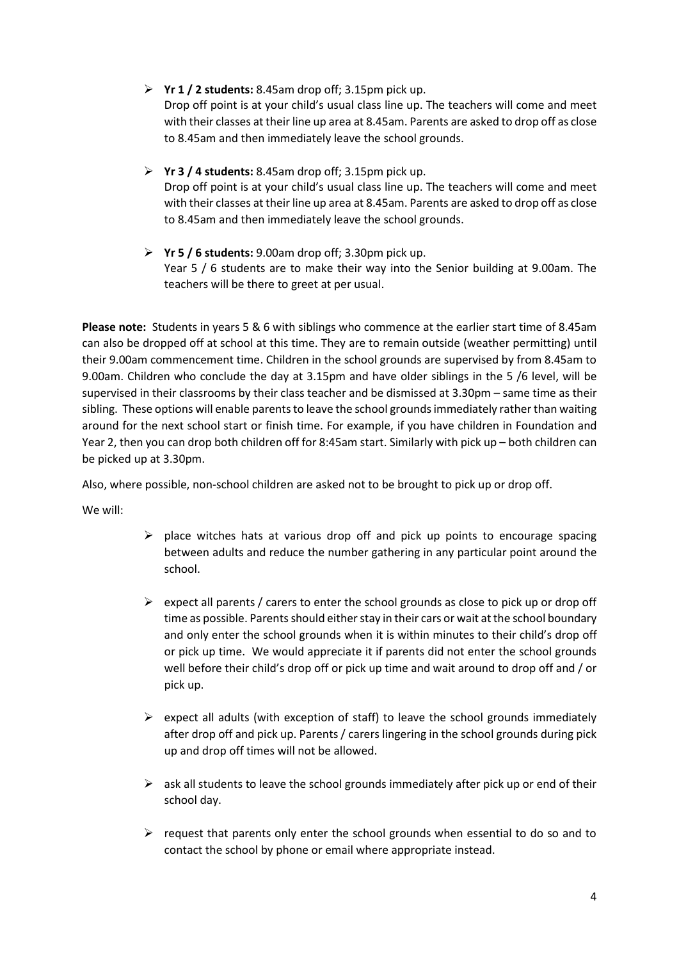- **Yr 1 / 2 students:** 8.45am drop off; 3.15pm pick up. Drop off point is at your child's usual class line up. The teachers will come and meet with their classes at their line up area at 8.45am. Parents are asked to drop off as close to 8.45am and then immediately leave the school grounds.
- **Yr 3 / 4 students:** 8.45am drop off; 3.15pm pick up. Drop off point is at your child's usual class line up. The teachers will come and meet with their classes at their line up area at 8.45am. Parents are asked to drop off as close to 8.45am and then immediately leave the school grounds.
- **Yr 5 / 6 students:** 9.00am drop off; 3.30pm pick up. Year 5 / 6 students are to make their way into the Senior building at 9.00am. The teachers will be there to greet at per usual.

**Please note:** Students in years 5 & 6 with siblings who commence at the earlier start time of 8.45am can also be dropped off at school at this time. They are to remain outside (weather permitting) until their 9.00am commencement time. Children in the school grounds are supervised by from 8.45am to 9.00am. Children who conclude the day at 3.15pm and have older siblings in the 5 /6 level, will be supervised in their classrooms by their class teacher and be dismissed at 3.30pm – same time as their sibling. These options will enable parents to leave the school grounds immediately rather than waiting around for the next school start or finish time. For example, if you have children in Foundation and Year 2, then you can drop both children off for 8:45am start. Similarly with pick up – both children can be picked up at 3.30pm.

Also, where possible, non-school children are asked not to be brought to pick up or drop off.

We will:

- $\triangleright$  place witches hats at various drop off and pick up points to encourage spacing between adults and reduce the number gathering in any particular point around the school.
- $\triangleright$  expect all parents / carers to enter the school grounds as close to pick up or drop off time as possible. Parents should either stay in their cars or wait at the school boundary and only enter the school grounds when it is within minutes to their child's drop off or pick up time. We would appreciate it if parents did not enter the school grounds well before their child's drop off or pick up time and wait around to drop off and / or pick up.
- $\triangleright$  expect all adults (with exception of staff) to leave the school grounds immediately after drop off and pick up. Parents / carers lingering in the school grounds during pick up and drop off times will not be allowed.
- $\triangleright$  ask all students to leave the school grounds immediately after pick up or end of their school day.
- $\triangleright$  request that parents only enter the school grounds when essential to do so and to contact the school by phone or email where appropriate instead.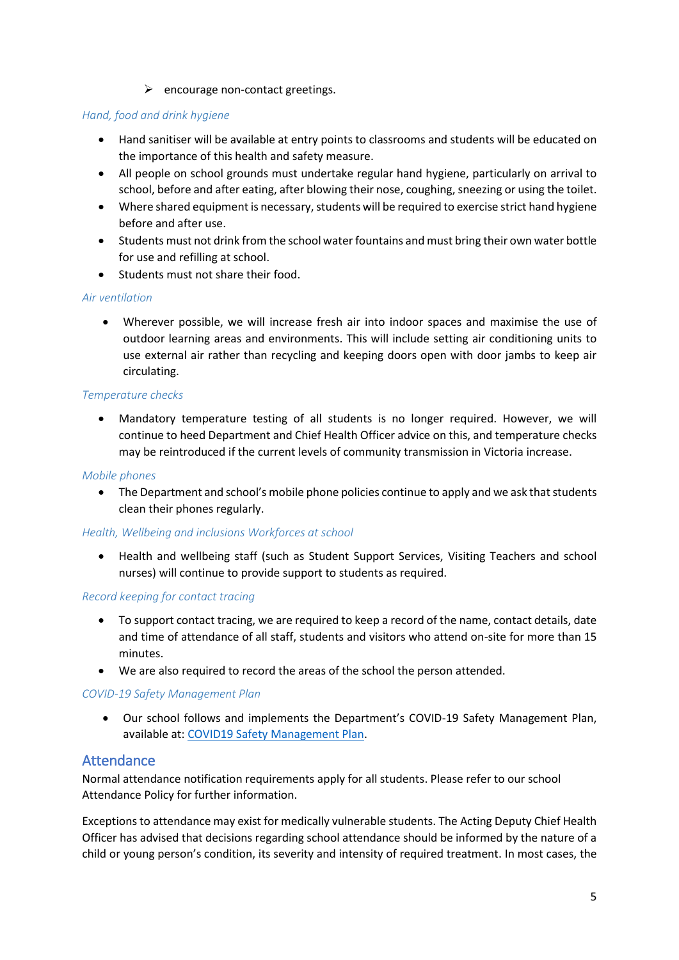$\triangleright$  encourage non-contact greetings.

#### *Hand, food and drink hygiene*

- Hand sanitiser will be available at entry points to classrooms and students will be educated on the importance of this health and safety measure.
- All people on school grounds must undertake regular hand hygiene, particularly on arrival to school, before and after eating, after blowing their nose, coughing, sneezing or using the toilet.
- Where shared equipment is necessary, students will be required to exercise strict hand hygiene before and after use.
- Students must not drink from the school water fountains and must bring their own water bottle for use and refilling at school.
- Students must not share their food.

#### *Air ventilation*

 Wherever possible, we will increase fresh air into indoor spaces and maximise the use of outdoor learning areas and environments. This will include setting air conditioning units to use external air rather than recycling and keeping doors open with door jambs to keep air circulating.

#### *Temperature checks*

 Mandatory temperature testing of all students is no longer required. However, we will continue to heed Department and Chief Health Officer advice on this, and temperature checks may be reintroduced if the current levels of community transmission in Victoria increase.

#### *Mobile phones*

• The Department and school's mobile phone policies continue to apply and we ask that students clean their phones regularly.

#### *Health, Wellbeing and inclusions Workforces at school*

 Health and wellbeing staff (such as Student Support Services, Visiting Teachers and school nurses) will continue to provide support to students as required.

#### *Record keeping for contact tracing*

- To support contact tracing, we are required to keep a record of the name, contact details, date and time of attendance of all staff, students and visitors who attend on-site for more than 15 minutes.
- We are also required to record the areas of the school the person attended.

#### *COVID-19 Safety Management Plan*

 Our school follows and implements the Department's COVID-19 Safety Management Plan, available at[: COVID19 Safety Management Plan.](https://www.education.vic.gov.au/hrweb/Documents/OHS/COVID19SafetyManagementPlan.docx)

### Attendance

Normal attendance notification requirements apply for all students. Please refer to our school Attendance Policy for further information.

Exceptions to attendance may exist for medically vulnerable students. The Acting Deputy Chief Health Officer has advised that decisions regarding school attendance should be informed by the nature of a child or young person's condition, its severity and intensity of required treatment. In most cases, the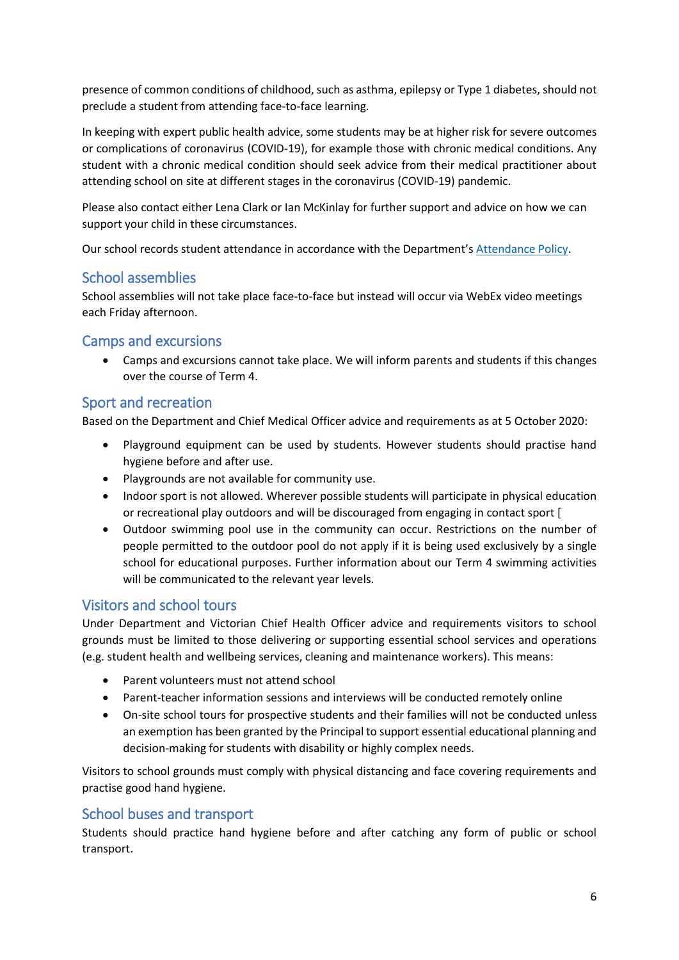presence of common conditions of childhood, such as asthma, epilepsy or Type 1 diabetes, should not preclude a student from attending face-to-face learning.

In keeping with expert public health advice, some students may be at higher risk for severe outcomes or complications of coronavirus (COVID-19), for example those with chronic medical conditions. Any student with a chronic medical condition should seek advice from their medical practitioner about attending school on site at different stages in the coronavirus (COVID-19) pandemic.

Please also contact either Lena Clark or Ian McKinlay for further support and advice on how we can support your child in these circumstances.

Our school records student attendance in accordance with the Department's [Attendance Policy.](https://www2.education.vic.gov.au/pal/attendance/policy)

## School assemblies

School assemblies will not take place face-to-face but instead will occur via WebEx video meetings each Friday afternoon.

## Camps and excursions

 Camps and excursions cannot take place. We will inform parents and students if this changes over the course of Term 4.

## Sport and recreation

Based on the Department and Chief Medical Officer advice and requirements as at 5 October 2020:

- Playground equipment can be used by students. However students should practise hand hygiene before and after use.
- Playgrounds are not available for community use.
- Indoor sport is not allowed. Wherever possible students will participate in physical education or recreational play outdoors and will be discouraged from engaging in contact sport [
- Outdoor swimming pool use in the community can occur. Restrictions on the number of people permitted to the outdoor pool do not apply if it is being used exclusively by a single school for educational purposes. Further information about our Term 4 swimming activities will be communicated to the relevant year levels.

### Visitors and school tours

Under Department and Victorian Chief Health Officer advice and requirements visitors to school grounds must be limited to those delivering or supporting essential school services and operations (e.g. student health and wellbeing services, cleaning and maintenance workers). This means:

- Parent volunteers must not attend school
- Parent-teacher information sessions and interviews will be conducted remotely online
- On-site school tours for prospective students and their families will not be conducted unless an exemption has been granted by the Principal to support essential educational planning and decision-making for students with disability or highly complex needs.

Visitors to school grounds must comply with physical distancing and face covering requirements and practise good hand hygiene.

## School buses and transport

Students should practice hand hygiene before and after catching any form of public or school transport.